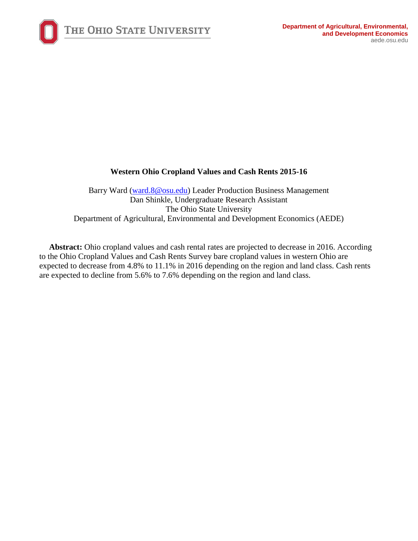

# **Western Ohio Cropland Values and Cash Rents 2015-16**

Barry Ward [\(ward.8@osu.edu\)](mailto:ward.8@osu.edu) Leader Production Business Management Dan Shinkle, Undergraduate Research Assistant The Ohio State University Department of Agricultural, Environmental and Development Economics (AEDE)

**Abstract:** Ohio cropland values and cash rental rates are projected to decrease in 2016. According to the Ohio Cropland Values and Cash Rents Survey bare cropland values in western Ohio are expected to decrease from 4.8% to 11.1% in 2016 depending on the region and land class. Cash rents are expected to decline from 5.6% to 7.6% depending on the region and land class.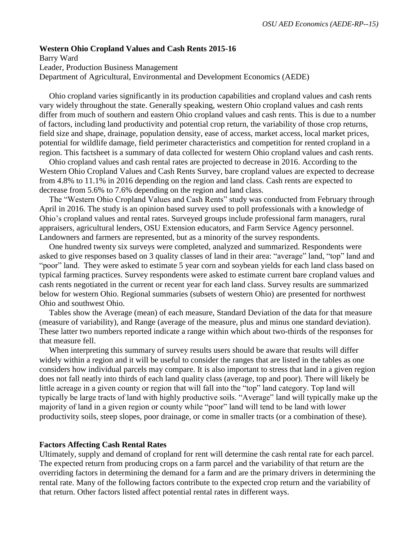#### **Western Ohio Cropland Values and Cash Rents 2015-16**

Barry Ward Leader, Production Business Management Department of Agricultural, Environmental and Development Economics (AEDE)

Ohio cropland varies significantly in its production capabilities and cropland values and cash rents vary widely throughout the state. Generally speaking, western Ohio cropland values and cash rents differ from much of southern and eastern Ohio cropland values and cash rents. This is due to a number of factors, including land productivity and potential crop return, the variability of those crop returns, field size and shape, drainage, population density, ease of access, market access, local market prices, potential for wildlife damage, field perimeter characteristics and competition for rented cropland in a region. This factsheet is a summary of data collected for western Ohio cropland values and cash rents.

Ohio cropland values and cash rental rates are projected to decrease in 2016. According to the Western Ohio Cropland Values and Cash Rents Survey, bare cropland values are expected to decrease from 4.8% to 11.1% in 2016 depending on the region and land class. Cash rents are expected to decrease from 5.6% to 7.6% depending on the region and land class.

The "Western Ohio Cropland Values and Cash Rents" study was conducted from February through April in 2016. The study is an opinion based survey used to poll professionals with a knowledge of Ohio's cropland values and rental rates. Surveyed groups include professional farm managers, rural appraisers, agricultural lenders, OSU Extension educators, and Farm Service Agency personnel. Landowners and farmers are represented, but as a minority of the survey respondents.

One hundred twenty six surveys were completed, analyzed and summarized. Respondents were asked to give responses based on 3 quality classes of land in their area: "average" land, "top" land and "poor" land. They were asked to estimate 5 year corn and soybean yields for each land class based on typical farming practices. Survey respondents were asked to estimate current bare cropland values and cash rents negotiated in the current or recent year for each land class. Survey results are summarized below for western Ohio. Regional summaries (subsets of western Ohio) are presented for northwest Ohio and southwest Ohio.

Tables show the Average (mean) of each measure, Standard Deviation of the data for that measure (measure of variability), and Range (average of the measure, plus and minus one standard deviation). These latter two numbers reported indicate a range within which about two-thirds of the responses for that measure fell.

When interpreting this summary of survey results users should be aware that results will differ widely within a region and it will be useful to consider the ranges that are listed in the tables as one considers how individual parcels may compare. It is also important to stress that land in a given region does not fall neatly into thirds of each land quality class (average, top and poor). There will likely be little acreage in a given county or region that will fall into the "top" land category. Top land will typically be large tracts of land with highly productive soils. "Average" land will typically make up the majority of land in a given region or county while "poor" land will tend to be land with lower productivity soils, steep slopes, poor drainage, or come in smaller tracts (or a combination of these).

#### **Factors Affecting Cash Rental Rates**

Ultimately, supply and demand of cropland for rent will determine the cash rental rate for each parcel. The expected return from producing crops on a farm parcel and the variability of that return are the overriding factors in determining the demand for a farm and are the primary drivers in determining the rental rate. Many of the following factors contribute to the expected crop return and the variability of that return. Other factors listed affect potential rental rates in different ways.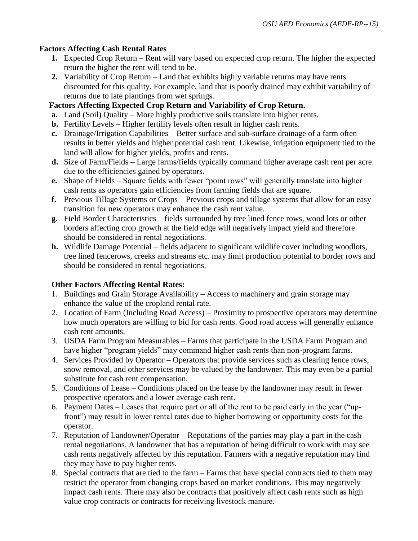# **Factors Affecting Cash Rental Rates**

- **1.** Expected Crop Return Rent will vary based on expected crop return. The higher the expected return the higher the rent will tend to be.
- **2.** Variability of Crop Return Land that exhibits highly variable returns may have rents discounted for this quality. For example, land that is poorly drained may exhibit variability of returns due to late plantings from wet springs.

# **Factors Affecting Expected Crop Return and Variability of Crop Return.**

- **a.** Land (Soil) Quality More highly productive soils translate into higher rents.
- **b.** Fertility Levels Higher fertility levels often result in higher cash rents.
- **c.** Drainage/Irrigation Capabilities Better surface and sub-surface drainage of a farm often results in better yields and higher potential cash rent. Likewise, irrigation equipment tied to the land will allow for higher yields, profits and rents.
- **d.** Size of Farm/Fields Large farms/fields typically command higher average cash rent per acre due to the efficiencies gained by operators.
- **e.** Shape of Fields Square fields with fewer "point rows" will generally translate into higher cash rents as operators gain efficiencies from farming fields that are square.
- **f.** Previous Tillage Systems or Crops Previous crops and tillage systems that allow for an easy transition for new operators may enhance the cash rent value.
- **g.** Field Border Characteristics fields surrounded by tree lined fence rows, wood lots or other borders affecting crop growth at the field edge will negatively impact yield and therefore should be considered in rental negotiations.
- **h.** Wildlife Damage Potential fields adjacent to significant wildlife cover including woodlots, tree lined fencerows, creeks and streams etc. may limit production potential to border rows and should be considered in rental negotiations.

# **Other Factors Affecting Rental Rates:**

- 1. Buildings and Grain Storage Availability Access to machinery and grain storage may enhance the value of the cropland rental rate.
- 2. Location of Farm (Including Road Access) Proximity to prospective operators may determine how much operators are willing to bid for cash rents. Good road access will generally enhance cash rent amounts.
- 3. USDA Farm Program Measurables Farms that participate in the USDA Farm Program and have higher "program yields" may command higher cash rents than non-program farms.
- 4. Services Provided by Operator Operators that provide services such as clearing fence rows, snow removal, and other services may be valued by the landowner. This may even be a partial substitute for cash rent compensation.
- 5. Conditions of Lease Conditions placed on the lease by the landowner may result in fewer prospective operators and a lower average cash rent.
- 6. Payment Dates Leases that require part or all of the rent to be paid early in the year ("upfront") may result in lower rental rates due to higher borrowing or opportunity costs for the operator.
- 7. Reputation of Landowner/Operator Reputations of the parties may play a part in the cash rental negotiations. A landowner that has a reputation of being difficult to work with may see cash rents negatively affected by this reputation. Farmers with a negative reputation may find they may have to pay higher rents.
- 8. Special contracts that are tied to the farm Farms that have special contracts tied to them may restrict the operator from changing crops based on market conditions. This may negatively impact cash rents. There may also be contracts that positively affect cash rents such as high value crop contracts or contracts for receiving livestock manure.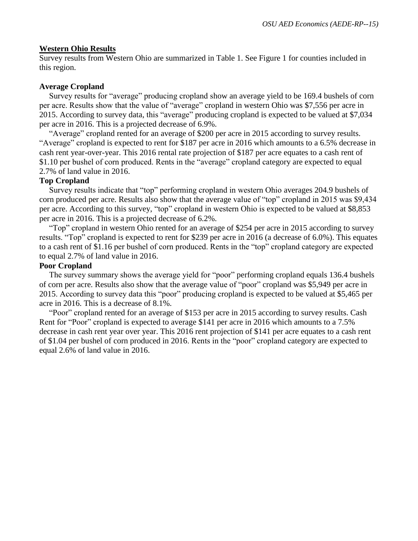### **Western Ohio Results**

Survey results from Western Ohio are summarized in Table 1. See Figure 1 for counties included in this region.

## **Average Cropland**

Survey results for "average" producing cropland show an average yield to be 169.4 bushels of corn per acre. Results show that the value of "average" cropland in western Ohio was \$7,556 per acre in 2015. According to survey data, this "average" producing cropland is expected to be valued at \$7,034 per acre in 2016. This is a projected decrease of 6.9%.

"Average" cropland rented for an average of \$200 per acre in 2015 according to survey results. "Average" cropland is expected to rent for \$187 per acre in 2016 which amounts to a 6.5% decrease in cash rent year-over-year. This 2016 rental rate projection of \$187 per acre equates to a cash rent of \$1.10 per bushel of corn produced. Rents in the "average" cropland category are expected to equal 2.7% of land value in 2016.

## **Top Cropland**

Survey results indicate that "top" performing cropland in western Ohio averages 204.9 bushels of corn produced per acre. Results also show that the average value of "top" cropland in 2015 was \$9,434 per acre. According to this survey, "top" cropland in western Ohio is expected to be valued at \$8,853 per acre in 2016. This is a projected decrease of 6.2%.

"Top" cropland in western Ohio rented for an average of \$254 per acre in 2015 according to survey results. "Top" cropland is expected to rent for \$239 per acre in 2016 (a decrease of 6.0%). This equates to a cash rent of \$1.16 per bushel of corn produced. Rents in the "top" cropland category are expected to equal 2.7% of land value in 2016.

## **Poor Cropland**

The survey summary shows the average yield for "poor" performing cropland equals 136.4 bushels of corn per acre. Results also show that the average value of "poor" cropland was \$5,949 per acre in 2015. According to survey data this "poor" producing cropland is expected to be valued at \$5,465 per acre in 2016. This is a decrease of 8.1%.

"Poor" cropland rented for an average of \$153 per acre in 2015 according to survey results. Cash Rent for "Poor" cropland is expected to average \$141 per acre in 2016 which amounts to a 7.5% decrease in cash rent year over year. This 2016 rent projection of \$141 per acre equates to a cash rent of \$1.04 per bushel of corn produced in 2016. Rents in the "poor" cropland category are expected to equal 2.6% of land value in 2016.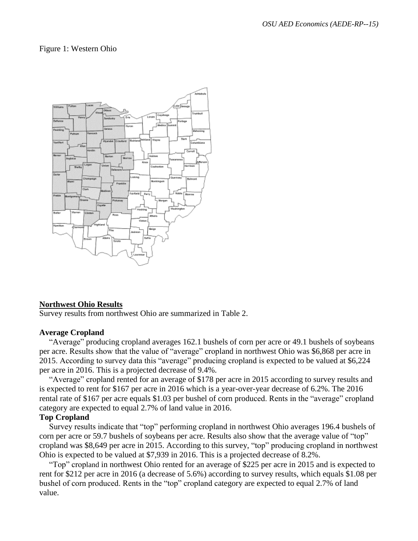### Figure 1: Western Ohio



#### **Northwest Ohio Results**

Survey results from northwest Ohio are summarized in Table 2.

#### **Average Cropland**

"Average" producing cropland averages 162.1 bushels of corn per acre or 49.1 bushels of soybeans per acre. Results show that the value of "average" cropland in northwest Ohio was \$6,868 per acre in 2015. According to survey data this "average" producing cropland is expected to be valued at \$6,224 per acre in 2016. This is a projected decrease of 9.4%.

"Average" cropland rented for an average of \$178 per acre in 2015 according to survey results and is expected to rent for \$167 per acre in 2016 which is a year-over-year decrease of 6.2%. The 2016 rental rate of \$167 per acre equals \$1.03 per bushel of corn produced. Rents in the "average" cropland category are expected to equal 2.7% of land value in 2016.

### **Top Cropland**

Survey results indicate that "top" performing cropland in northwest Ohio averages 196.4 bushels of corn per acre or 59.7 bushels of soybeans per acre. Results also show that the average value of "top" cropland was \$8,649 per acre in 2015. According to this survey, "top" producing cropland in northwest Ohio is expected to be valued at \$7,939 in 2016. This is a projected decrease of 8.2%.

"Top" cropland in northwest Ohio rented for an average of \$225 per acre in 2015 and is expected to rent for \$212 per acre in 2016 (a decrease of 5.6%) according to survey results, which equals \$1.08 per bushel of corn produced. Rents in the "top" cropland category are expected to equal 2.7% of land value.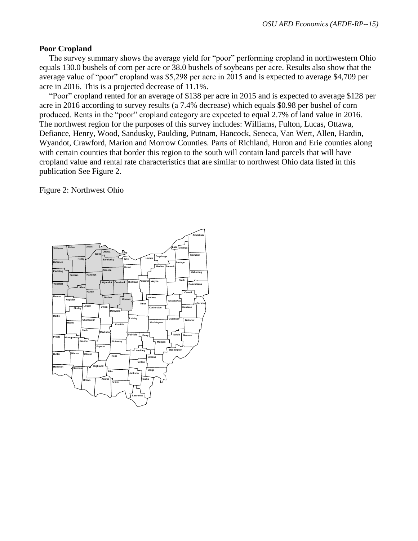### **Poor Cropland**

The survey summary shows the average yield for "poor" performing cropland in northwestern Ohio equals 130.0 bushels of corn per acre or 38.0 bushels of soybeans per acre. Results also show that the average value of "poor" cropland was \$5,298 per acre in 2015 and is expected to average \$4,709 per acre in 2016. This is a projected decrease of 11.1%.

"Poor" cropland rented for an average of \$138 per acre in 2015 and is expected to average \$128 per acre in 2016 according to survey results (a 7.4% decrease) which equals \$0.98 per bushel of corn produced. Rents in the "poor" cropland category are expected to equal 2.7% of land value in 2016. The northwest region for the purposes of this survey includes: Williams, Fulton, Lucas, Ottawa, Defiance, Henry, Wood, Sandusky, Paulding, Putnam, Hancock, Seneca, Van Wert, Allen, Hardin, Wyandot, Crawford, Marion and Morrow Counties. Parts of Richland, Huron and Erie counties along with certain counties that border this region to the south will contain land parcels that will have cropland value and rental rate characteristics that are similar to northwest Ohio data listed in this publication See Figure 2.

Figure 2: Northwest Ohio

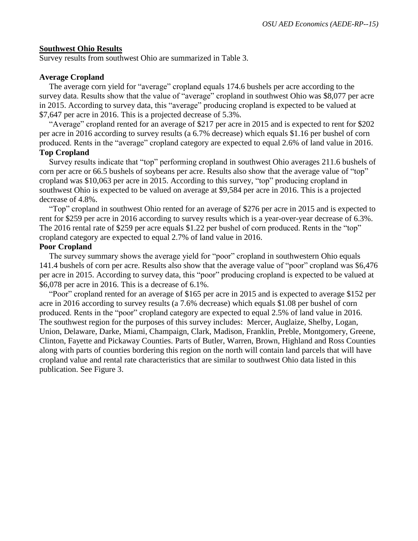#### **Southwest Ohio Results**

Survey results from southwest Ohio are summarized in Table 3.

#### **Average Cropland**

The average corn yield for "average" cropland equals 174.6 bushels per acre according to the survey data. Results show that the value of "average" cropland in southwest Ohio was \$8,077 per acre in 2015. According to survey data, this "average" producing cropland is expected to be valued at \$7,647 per acre in 2016. This is a projected decrease of 5.3%.

"Average" cropland rented for an average of \$217 per acre in 2015 and is expected to rent for \$202 per acre in 2016 according to survey results (a 6.7% decrease) which equals \$1.16 per bushel of corn produced. Rents in the "average" cropland category are expected to equal 2.6% of land value in 2016.

### **Top Cropland**

Survey results indicate that "top" performing cropland in southwest Ohio averages 211.6 bushels of corn per acre or 66.5 bushels of soybeans per acre. Results also show that the average value of "top" cropland was \$10,063 per acre in 2015. According to this survey, "top" producing cropland in southwest Ohio is expected to be valued on average at \$9,584 per acre in 2016. This is a projected decrease of 4.8%.

"Top" cropland in southwest Ohio rented for an average of \$276 per acre in 2015 and is expected to rent for \$259 per acre in 2016 according to survey results which is a year-over-year decrease of 6.3%. The 2016 rental rate of \$259 per acre equals \$1.22 per bushel of corn produced. Rents in the "top" cropland category are expected to equal 2.7% of land value in 2016.

#### **Poor Cropland**

The survey summary shows the average yield for "poor" cropland in southwestern Ohio equals 141.4 bushels of corn per acre. Results also show that the average value of "poor" cropland was \$6,476 per acre in 2015. According to survey data, this "poor" producing cropland is expected to be valued at \$6,078 per acre in 2016. This is a decrease of 6.1%.

"Poor" cropland rented for an average of \$165 per acre in 2015 and is expected to average \$152 per acre in 2016 according to survey results (a 7.6% decrease) which equals \$1.08 per bushel of corn produced. Rents in the "poor" cropland category are expected to equal 2.5% of land value in 2016. The southwest region for the purposes of this survey includes: Mercer, Auglaize, Shelby, Logan, Union, Delaware, Darke, Miami, Champaign, Clark, Madison, Franklin, Preble, Montgomery, Greene, Clinton, Fayette and Pickaway Counties. Parts of Butler, Warren, Brown, Highland and Ross Counties along with parts of counties bordering this region on the north will contain land parcels that will have cropland value and rental rate characteristics that are similar to southwest Ohio data listed in this publication. See Figure 3.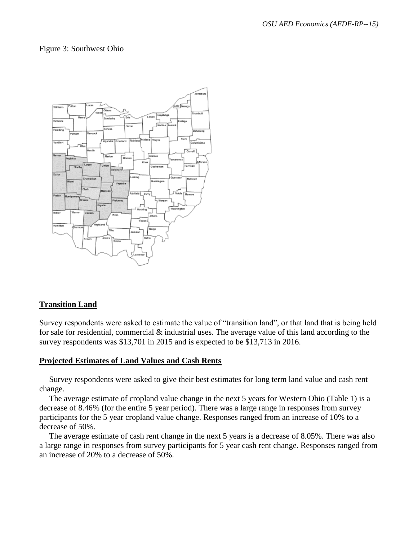### Figure 3: Southwest Ohio



### **Transition Land**

Survey respondents were asked to estimate the value of "transition land", or that land that is being held for sale for residential, commercial & industrial uses. The average value of this land according to the survey respondents was \$13,701 in 2015 and is expected to be \$13,713 in 2016.

#### **Projected Estimates of Land Values and Cash Rents**

Survey respondents were asked to give their best estimates for long term land value and cash rent change.

The average estimate of cropland value change in the next 5 years for Western Ohio (Table 1) is a decrease of 8.46% (for the entire 5 year period). There was a large range in responses from survey participants for the 5 year cropland value change. Responses ranged from an increase of 10% to a decrease of 50%.

The average estimate of cash rent change in the next 5 years is a decrease of 8.05%. There was also a large range in responses from survey participants for 5 year cash rent change. Responses ranged from an increase of 20% to a decrease of 50%.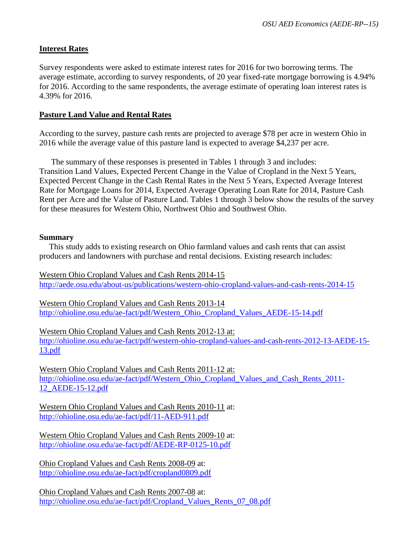## **Interest Rates**

Survey respondents were asked to estimate interest rates for 2016 for two borrowing terms. The average estimate, according to survey respondents, of 20 year fixed-rate mortgage borrowing is 4.94% for 2016. According to the same respondents, the average estimate of operating loan interest rates is 4.39% for 2016.

### **Pasture Land Value and Rental Rates**

According to the survey, pasture cash rents are projected to average \$78 per acre in western Ohio in 2016 while the average value of this pasture land is expected to average \$4,237 per acre.

The summary of these responses is presented in Tables 1 through 3 and includes: Transition Land Values, Expected Percent Change in the Value of Cropland in the Next 5 Years, Expected Percent Change in the Cash Rental Rates in the Next 5 Years, Expected Average Interest Rate for Mortgage Loans for 2014, Expected Average Operating Loan Rate for 2014, Pasture Cash Rent per Acre and the Value of Pasture Land. Tables 1 through 3 below show the results of the survey for these measures for Western Ohio, Northwest Ohio and Southwest Ohio.

### **Summary**

This study adds to existing research on Ohio farmland values and cash rents that can assist producers and landowners with purchase and rental decisions. Existing research includes:

Western Ohio Cropland Values and Cash Rents 2014-15 <http://aede.osu.edu/about-us/publications/western-ohio-cropland-values-and-cash-rents-2014-15>

Western Ohio Cropland Values and Cash Rents 2013-14 [http://ohioline.osu.edu/ae-fact/pdf/Western\\_Ohio\\_Cropland\\_Values\\_AEDE-15-14.pdf](http://ohioline.osu.edu/ae-fact/pdf/Western_Ohio_Cropland_Values_AEDE-15-14.pdf)

Western Ohio Cropland Values and Cash Rents 2012-13 at: [http://ohioline.osu.edu/ae-fact/pdf/western-ohio-cropland-values-and-cash-rents-2012-13-AEDE-15-](http://ohioline.osu.edu/ae-fact/pdf/western-ohio-cropland-values-and-cash-rents-2012-13-AEDE-15-13.pdf) [13.pdf](http://ohioline.osu.edu/ae-fact/pdf/western-ohio-cropland-values-and-cash-rents-2012-13-AEDE-15-13.pdf)

Western Ohio Cropland Values and Cash Rents 2011-12 at: [http://ohioline.osu.edu/ae-fact/pdf/Western\\_Ohio\\_Cropland\\_Values\\_and\\_Cash\\_Rents\\_2011-](http://ohioline.osu.edu/ae-fact/pdf/Western_Ohio_Cropland_Values_and_Cash_Rents_2011-12_AEDE-15-12.pdf) [12\\_AEDE-15-12.pdf](http://ohioline.osu.edu/ae-fact/pdf/Western_Ohio_Cropland_Values_and_Cash_Rents_2011-12_AEDE-15-12.pdf)

Western Ohio Cropland Values and Cash Rents 2010-11 at: <http://ohioline.osu.edu/ae-fact/pdf/11-AED-911.pdf>

Western Ohio Cropland Values and Cash Rents 2009-10 at: <http://ohioline.osu.edu/ae-fact/pdf/AEDE-RP-0125-10.pdf>

Ohio Cropland Values and Cash Rents 2008-09 at: <http://ohioline.osu.edu/ae-fact/pdf/cropland0809.pdf>

Ohio Cropland Values and Cash Rents 2007-08 at: [http://ohioline.osu.edu/ae-fact/pdf/Cropland\\_Values\\_Rents\\_07\\_08.pdf](http://ohioline.osu.edu/ae-fact/pdf/Cropland_Values_Rents_07_08.pdf)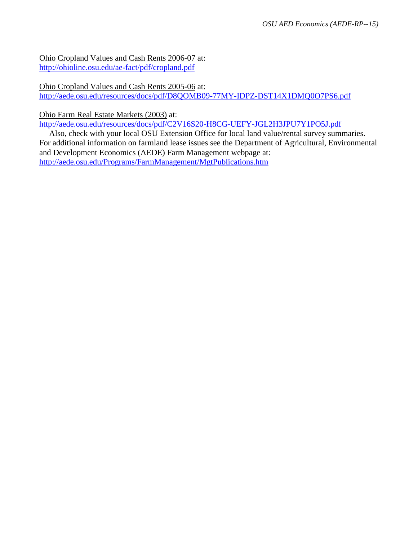Ohio Cropland Values and Cash Rents 2006-07 at: <http://ohioline.osu.edu/ae-fact/pdf/cropland.pdf>

Ohio Cropland Values and Cash Rents 2005-06 at: <http://aede.osu.edu/resources/docs/pdf/D8QOMB09-77MY-IDPZ-DST14X1DMQ0O7PS6.pdf>

Ohio Farm Real Estate Markets (2003) at:

<http://aede.osu.edu/resources/docs/pdf/C2V16S20-H8CG-UEFY-JGL2H3JPU7Y1PO5J.pdf>

Also, check with your local OSU Extension Office for local land value/rental survey summaries. For additional information on farmland lease issues see the Department of Agricultural, Environmental and Development Economics (AEDE) Farm Management webpage at: <http://aede.osu.edu/Programs/FarmManagement/MgtPublications.htm>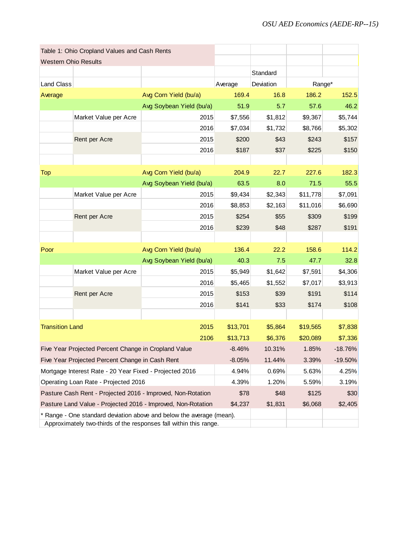| Table 1: Ohio Cropland Values and Cash Rents |                                                                   |                                                                      |          |           |          |            |
|----------------------------------------------|-------------------------------------------------------------------|----------------------------------------------------------------------|----------|-----------|----------|------------|
| <b>Western Ohio Results</b>                  |                                                                   |                                                                      |          |           |          |            |
|                                              |                                                                   |                                                                      |          | Standard  |          |            |
| <b>Land Class</b>                            |                                                                   |                                                                      | Average  | Deviation | Range*   |            |
| Average                                      |                                                                   | Avg Corn Yield (bu/a)                                                | 169.4    | 16.8      | 186.2    | 152.5      |
|                                              |                                                                   | Avg Soybean Yield (bu/a)                                             | 51.9     | 5.7       | 57.6     | 46.2       |
|                                              | Market Value per Acre                                             | 2015                                                                 | \$7,556  | \$1,812   | \$9,367  | \$5,744    |
|                                              |                                                                   | 2016                                                                 | \$7,034  | \$1,732   | \$8,766  | \$5,302    |
|                                              | Rent per Acre                                                     | 2015                                                                 | \$200    | \$43      | \$243    | \$157      |
|                                              |                                                                   | 2016                                                                 | \$187    | \$37      | \$225    | \$150      |
|                                              |                                                                   |                                                                      |          |           |          |            |
| <b>Top</b>                                   |                                                                   | Avg Corn Yield (bu/a)                                                | 204.9    | 22.7      | 227.6    | 182.3      |
|                                              |                                                                   | Avg Soybean Yield (bu/a)                                             | 63.5     | 8.0       | 71.5     | 55.5       |
|                                              | Market Value per Acre                                             | 2015                                                                 | \$9,434  | \$2,343   | \$11,778 | \$7,091    |
|                                              |                                                                   | 2016                                                                 | \$8,853  | \$2,163   | \$11,016 | \$6,690    |
|                                              | Rent per Acre                                                     | 2015                                                                 | \$254    | \$55      | \$309    | \$199      |
|                                              |                                                                   | 2016                                                                 | \$239    | \$48      | \$287    | \$191      |
|                                              |                                                                   |                                                                      |          |           |          |            |
| Poor                                         |                                                                   | 136.4                                                                | 22.2     | 158.6     | 114.2    |            |
|                                              |                                                                   | Avg Soybean Yield (bu/a)                                             | 40.3     | 7.5       | 47.7     | 32.8       |
|                                              | Market Value per Acre                                             | 2015                                                                 | \$5,949  | \$1,642   | \$7,591  | \$4,306    |
|                                              |                                                                   | 2016                                                                 | \$5,465  | \$1,552   | \$7,017  | \$3,913    |
|                                              | Rent per Acre                                                     | 2015                                                                 | \$153    | \$39      | \$191    | \$114      |
|                                              |                                                                   | 2016                                                                 | \$141    | \$33      | \$174    | \$108      |
|                                              |                                                                   |                                                                      |          |           |          |            |
| <b>Transition Land</b>                       |                                                                   | 2015                                                                 | \$13,701 | \$5,864   | \$19,565 | \$7,838    |
|                                              |                                                                   | 2106                                                                 | \$13,713 | \$6,376   | \$20,089 | \$7,336    |
|                                              | Five Year Projected Percent Change in Cropland Value              |                                                                      | $-8.46%$ | 10.31%    | 1.85%    | $-18.76%$  |
|                                              | Five Year Projected Percent Change in Cash Rent                   |                                                                      | $-8.05%$ | 11.44%    | 3.39%    | $-19.50\%$ |
|                                              | Mortgage Interest Rate - 20 Year Fixed - Projected 2016           |                                                                      | 4.94%    | 0.69%     | 5.63%    | 4.25%      |
|                                              | Operating Loan Rate - Projected 2016                              | 4.39%                                                                | 1.20%    | 5.59%     | 3.19%    |            |
|                                              | Pasture Cash Rent - Projected 2016 - Improved, Non-Rotation       | \$78                                                                 | \$48     | \$125     | \$30     |            |
|                                              |                                                                   | Pasture Land Value - Projected 2016 - Improved, Non-Rotation         | \$4,237  | \$1,831   | \$6,068  | \$2,405    |
|                                              |                                                                   | * Range - One standard deviation above and below the average (mean). |          |           |          |            |
|                                              | Approximately two-thirds of the responses fall within this range. |                                                                      |          |           |          |            |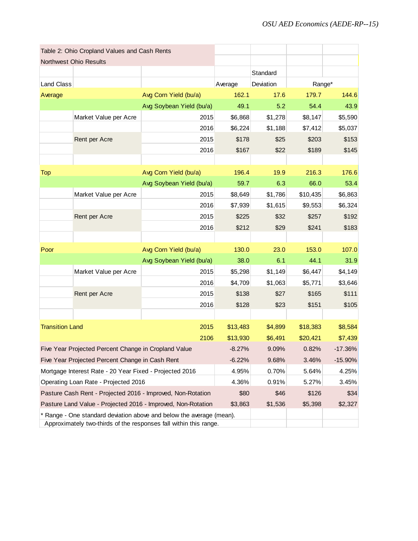| Table 2: Ohio Cropland Values and Cash Rents |                                                                   |                                                                      |          |           |          |           |
|----------------------------------------------|-------------------------------------------------------------------|----------------------------------------------------------------------|----------|-----------|----------|-----------|
|                                              | Northwest Ohio Results                                            |                                                                      |          |           |          |           |
|                                              |                                                                   |                                                                      |          | Standard  |          |           |
| Land Class                                   |                                                                   |                                                                      | Average  | Deviation | Range*   |           |
| Average                                      |                                                                   | Avg Corn Yield (bu/a)                                                | 162.1    | 17.6      | 179.7    | 144.6     |
|                                              |                                                                   | Avg Soybean Yield (bu/a)                                             | 49.1     | 5.2       | 54.4     | 43.9      |
|                                              | Market Value per Acre                                             | 2015                                                                 | \$6,868  | \$1,278   | \$8,147  | \$5,590   |
|                                              |                                                                   | 2016                                                                 | \$6,224  | \$1,188   | \$7,412  | \$5,037   |
|                                              | Rent per Acre                                                     | 2015                                                                 | \$178    | \$25      | \$203    | \$153     |
|                                              |                                                                   | 2016                                                                 | \$167    | \$22      | \$189    | \$145     |
|                                              |                                                                   |                                                                      |          |           |          |           |
| <b>Top</b>                                   |                                                                   | Avg Corn Yield (bu/a)                                                | 196.4    | 19.9      | 216.3    | 176.6     |
|                                              |                                                                   | Avg Soybean Yield (bu/a)                                             | 59.7     | 6.3       | 66.0     | 53.4      |
|                                              | Market Value per Acre                                             | 2015                                                                 | \$8,649  | \$1,786   | \$10,435 | \$6,863   |
|                                              |                                                                   | 2016                                                                 | \$7,939  | \$1,615   | \$9,553  | \$6,324   |
|                                              | Rent per Acre                                                     | 2015                                                                 | \$225    | \$32      | \$257    | \$192     |
|                                              |                                                                   | 2016                                                                 | \$212    | \$29      | \$241    | \$183     |
|                                              |                                                                   |                                                                      |          |           |          |           |
| Poor                                         |                                                                   | 130.0                                                                | 23.0     | 153.0     | 107.0    |           |
|                                              |                                                                   | Avg Soybean Yield (bu/a)                                             | 38.0     | 6.1       | 44.1     | 31.9      |
|                                              | Market Value per Acre                                             | 2015                                                                 | \$5,298  | \$1,149   | \$6,447  | \$4,149   |
|                                              |                                                                   | 2016                                                                 | \$4,709  | \$1,063   | \$5,771  | \$3,646   |
|                                              | Rent per Acre                                                     | 2015                                                                 | \$138    | \$27      | \$165    | \$111     |
|                                              |                                                                   | 2016                                                                 | \$128    | \$23      | \$151    | \$105     |
|                                              |                                                                   |                                                                      |          |           |          |           |
| <b>Transition Land</b>                       |                                                                   | 2015                                                                 | \$13,483 | \$4,899   | \$18,383 | \$8,584   |
|                                              |                                                                   | 2106                                                                 | \$13,930 | \$6,491   | \$20,421 | \$7,439   |
|                                              | Five Year Projected Percent Change in Cropland Value              |                                                                      | $-8.27%$ | 9.09%     | 0.82%    | $-17.36%$ |
|                                              | Five Year Projected Percent Change in Cash Rent                   |                                                                      | $-6.22%$ | 9.68%     | 3.46%    | $-15.90%$ |
|                                              | Mortgage Interest Rate - 20 Year Fixed - Projected 2016           | 4.95%                                                                | 0.70%    | 5.64%     | 4.25%    |           |
|                                              | Operating Loan Rate - Projected 2016                              |                                                                      | 4.36%    | 0.91%     | 5.27%    | 3.45%     |
|                                              |                                                                   | Pasture Cash Rent - Projected 2016 - Improved, Non-Rotation          | \$80     | \$46      | \$126    | \$34      |
|                                              |                                                                   | Pasture Land Value - Projected 2016 - Improved, Non-Rotation         | \$3,863  | \$1,536   | \$5,398  | \$2,327   |
|                                              |                                                                   | * Range - One standard deviation above and below the average (mean). |          |           |          |           |
|                                              | Approximately two-thirds of the responses fall within this range. |                                                                      |          |           |          |           |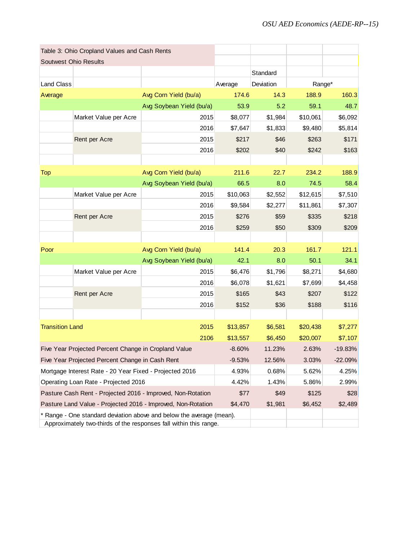| Table 3: Ohio Cropland Values and Cash Rents |                                                                   |                                                                      |          |           |          |           |
|----------------------------------------------|-------------------------------------------------------------------|----------------------------------------------------------------------|----------|-----------|----------|-----------|
| <b>Soutwest Ohio Results</b>                 |                                                                   |                                                                      |          |           |          |           |
|                                              |                                                                   |                                                                      |          | Standard  |          |           |
| <b>Land Class</b>                            |                                                                   |                                                                      | Average  | Deviation | Range*   |           |
| Average                                      |                                                                   | Avg Corn Yield (bu/a)                                                | 174.6    | 14.3      | 188.9    | 160.3     |
|                                              |                                                                   | Avg Soybean Yield (bu/a)                                             | 53.9     | 5.2       | 59.1     | 48.7      |
|                                              | Market Value per Acre                                             | 2015                                                                 | \$8,077  | \$1,984   | \$10,061 | \$6,092   |
|                                              |                                                                   | 2016                                                                 | \$7,647  | \$1,833   | \$9,480  | \$5,814   |
|                                              | Rent per Acre                                                     | 2015                                                                 | \$217    | \$46      | \$263    | \$171     |
|                                              |                                                                   | 2016                                                                 | \$202    | \$40      | \$242    | \$163     |
|                                              |                                                                   |                                                                      |          |           |          |           |
| <b>Top</b>                                   |                                                                   | Avg Corn Yield (bu/a)                                                | 211.6    | 22.7      | 234.2    | 188.9     |
|                                              |                                                                   | Avg Soybean Yield (bu/a)                                             | 66.5     | 8.0       | 74.5     | 58.4      |
|                                              | Market Value per Acre                                             | 2015                                                                 | \$10,063 | \$2,552   | \$12,615 | \$7,510   |
|                                              |                                                                   | 2016                                                                 | \$9,584  | \$2,277   | \$11,861 | \$7,307   |
|                                              | Rent per Acre                                                     | 2015                                                                 | \$276    | \$59      | \$335    | \$218     |
|                                              |                                                                   | 2016                                                                 | \$259    | \$50      | \$309    | \$209     |
|                                              |                                                                   |                                                                      |          |           |          |           |
| Poor                                         |                                                                   | 141.4                                                                | 20.3     | 161.7     | 121.1    |           |
|                                              |                                                                   | Avg Soybean Yield (bu/a)                                             | 42.1     | 8.0       | 50.1     | 34.1      |
|                                              | Market Value per Acre                                             | 2015                                                                 | \$6,476  | \$1,796   | \$8,271  | \$4,680   |
|                                              |                                                                   | 2016                                                                 | \$6,078  | \$1,621   | \$7,699  | \$4,458   |
|                                              | Rent per Acre                                                     | 2015                                                                 | \$165    | \$43      | \$207    | \$122     |
|                                              |                                                                   | 2016                                                                 | \$152    | \$36      | \$188    | \$116     |
|                                              |                                                                   |                                                                      |          |           |          |           |
| <b>Transition Land</b>                       |                                                                   | 2015                                                                 | \$13,857 | \$6,581   | \$20,438 | \$7,277   |
|                                              |                                                                   | 2106                                                                 | \$13,557 | \$6,450   | \$20,007 | \$7,107   |
|                                              | Five Year Projected Percent Change in Cropland Value              |                                                                      | $-8.60%$ | 11.23%    | 2.63%    | $-19.83%$ |
|                                              | Five Year Projected Percent Change in Cash Rent                   |                                                                      | $-9.53%$ | 12.56%    | 3.03%    | $-22.09%$ |
|                                              | Mortgage Interest Rate - 20 Year Fixed - Projected 2016           |                                                                      | 4.93%    | 0.68%     | 5.62%    | 4.25%     |
|                                              | Operating Loan Rate - Projected 2016                              |                                                                      | 4.42%    | 1.43%     | 5.86%    | 2.99%     |
|                                              |                                                                   | Pasture Cash Rent - Projected 2016 - Improved, Non-Rotation          | \$77     | \$49      | \$125    | \$28      |
|                                              |                                                                   | Pasture Land Value - Projected 2016 - Improved, Non-Rotation         | \$4,470  | \$1,981   | \$6,452  | \$2,489   |
|                                              |                                                                   | * Range - One standard deviation above and below the average (mean). |          |           |          |           |
|                                              | Approximately two-thirds of the responses fall within this range. |                                                                      |          |           |          |           |